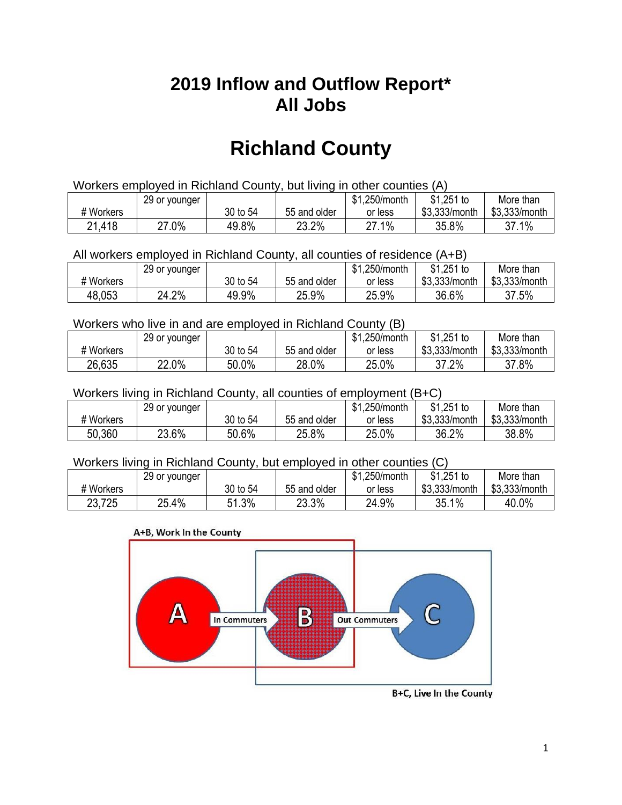## **2019 Inflow and Outflow Report\* All Jobs**

# **Richland County**

| Workers employed in Richland County, but living in other counties (A) |                                                           |          |              |         |               |               |  |  |  |
|-----------------------------------------------------------------------|-----------------------------------------------------------|----------|--------------|---------|---------------|---------------|--|--|--|
|                                                                       | \$1.251 to<br>\$1.250/month<br>More than<br>29 or younger |          |              |         |               |               |  |  |  |
| # Workers                                                             |                                                           | 30 to 54 | 55 and older | or less | \$3.333/month | \$3,333/month |  |  |  |
| 21,418                                                                | 27.0%                                                     | 49.8%    | 23.2%        | 27.1%   | 35.8%         | 37.1%         |  |  |  |

All workers employed in Richland County, all counties of residence (A+B)

|           | 29 or younger |          |              | \$1,250/month | $$1,251$ to   | More than     |
|-----------|---------------|----------|--------------|---------------|---------------|---------------|
| # Workers |               | 30 to 54 | 55 and older | or less       | \$3,333/month | \$3,333/month |
| 48,053    | 24.2%         | 49.9%    | 25.9%        | 25.9%         | 36.6%         | 37.5%         |

#### Workers who live in and are employed in Richland County (B)

|           | 29 or younger |          |              | \$1,250/month | $$1,251$ to   | More than     |
|-----------|---------------|----------|--------------|---------------|---------------|---------------|
| # Workers |               | 30 to 54 | 55 and older | or less       | \$3,333/month | \$3,333/month |
| 26,635    | 22.0%         | 50.0%    | 28.0%        | 25.0%         | 37.2%         | 37.8%         |

#### Workers living in Richland County, all counties of employment (B+C)

|           | 29 or younger |          |              | \$1,250/month | \$1,251 to    | More than     |
|-----------|---------------|----------|--------------|---------------|---------------|---------------|
| # Workers |               | 30 to 54 | 55 and older | or less       | \$3,333/month | \$3,333/month |
| 50,360    | 23.6%         | 50.6%    | 25.8%        | 25.0%         | 36.2%         | 38.8%         |

#### Workers living in Richland County, but employed in other counties (C)

|           | 29 or younger |            |              | \$1,250/month | \$1,251 to    | More than     |
|-----------|---------------|------------|--------------|---------------|---------------|---------------|
| # Workers |               | 30 to 54   | 55 and older | or less       | \$3,333/month | \$3,333/month |
| 23,725    | 25.4%         | 1.3%<br>51 | 23.3%        | 24.9%         | 35.1%         | 40.0%         |

#### A+B, Work In the County



B+C, Live In the County